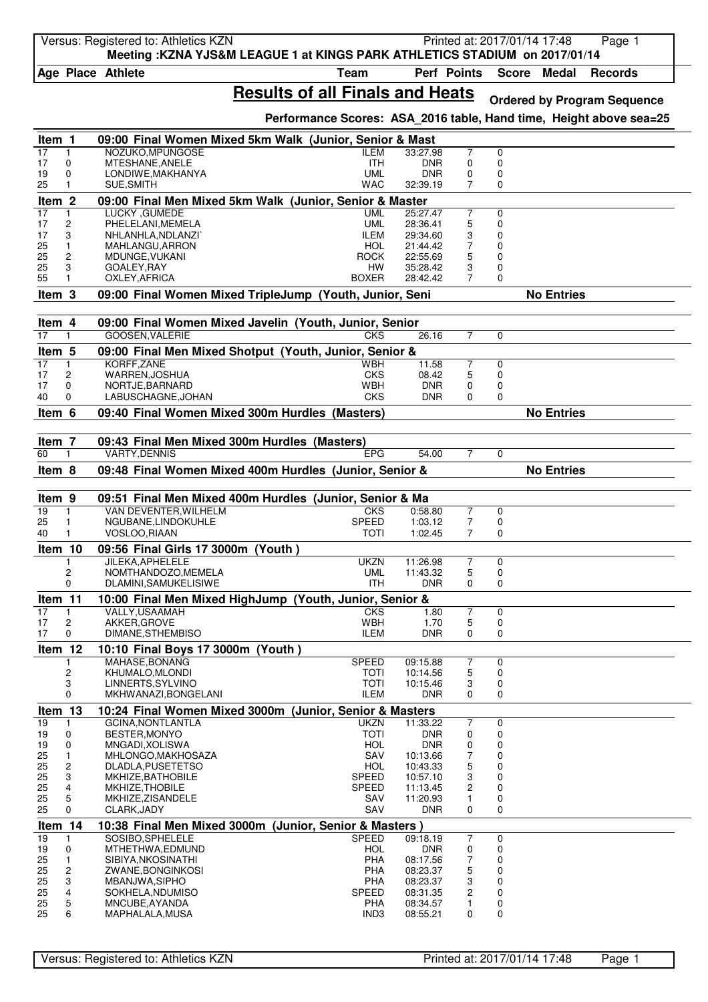|                   |                   | Versus: Registered to: Athletics KZN<br>Meeting: KZNA YJS&M LEAGUE 1 at KINGS PARK ATHLETICS STADIUM on 2017/01/14 |                                                                    |                          |                     |                  | Printed at: 2017/01/14 17:48 | Page 1                             |
|-------------------|-------------------|--------------------------------------------------------------------------------------------------------------------|--------------------------------------------------------------------|--------------------------|---------------------|------------------|------------------------------|------------------------------------|
|                   |                   | Age Place Athlete                                                                                                  | <b>Team</b>                                                        |                          | Perf Points         | <b>Score</b>     | <b>Medal</b>                 | <b>Records</b>                     |
|                   |                   |                                                                                                                    | <b>Results of all Finals and Heats</b>                             |                          |                     |                  |                              | <b>Ordered by Program Sequence</b> |
|                   |                   |                                                                                                                    | Performance Scores: ASA 2016 table, Hand time, Height above sea=25 |                          |                     |                  |                              |                                    |
| Item 1            |                   | 09:00 Final Women Mixed 5km Walk (Junior, Senior & Mast                                                            |                                                                    |                          |                     |                  |                              |                                    |
| 17                | 1<br>0            | NOZUKO.MPUNGOSE<br>MTESHANE, ANELE                                                                                 | ILEM<br><b>ITH</b>                                                 | 33:27.98<br><b>DNR</b>   | $\overline{7}$<br>0 | 0<br>0           |                              |                                    |
| 17<br>19          | 0                 | LONDIWE, MAKHANYA                                                                                                  | <b>UML</b>                                                         | <b>DNR</b>               | 0                   | $\mathbf 0$      |                              |                                    |
| 25                | 1                 | SUE, SMITH                                                                                                         | <b>WAC</b>                                                         | 32:39.19                 | 7                   | 0                |                              |                                    |
| Item <sub>2</sub> |                   | 09:00 Final Men Mixed 5km Walk (Junior, Senior & Master                                                            |                                                                    |                          |                     |                  |                              |                                    |
| 17<br>17          | $\mathbf{1}$<br>2 | LUCKY, GUMEDE<br>PHELELANI, MEMELA                                                                                 | <b>UML</b><br><b>UML</b>                                           | 25:27.47<br>28:36.41     | $\overline{7}$<br>5 | $\mathbf 0$<br>0 |                              |                                    |
| 17                | 3                 | NHLANHLA, NDLANZI`                                                                                                 | <b>ILEM</b>                                                        | 29:34.60                 | 3                   | 0                |                              |                                    |
| 25                | 1                 | MAHLANGU, ARRON                                                                                                    | <b>HOL</b>                                                         | 21:44.42                 | 7                   | 0                |                              |                                    |
| 25                | 2                 | MDUNGE, VUKANI                                                                                                     | ROCK                                                               | 22:55.69                 | 5                   | 0                |                              |                                    |
| 25<br>55          | 3<br>1            | GOALEY, RAY<br>OXLEY, AFRICA                                                                                       | НW<br><b>BOXER</b>                                                 | 35:28.42<br>28:42.42     | 3<br>7              | 0<br>0           |                              |                                    |
| Item 3            |                   | 09:00 Final Women Mixed TripleJump (Youth, Junior, Seni                                                            |                                                                    |                          |                     |                  | <b>No Entries</b>            |                                    |
|                   |                   |                                                                                                                    |                                                                    |                          |                     |                  |                              |                                    |
| Item 4            |                   | 09:00 Final Women Mixed Javelin (Youth, Junior, Senior                                                             |                                                                    |                          |                     |                  |                              |                                    |
| 17                | 1                 | <b>GOOSEN.VALERIE</b>                                                                                              | CKS                                                                | 26.16                    | $\overline{7}$      | $\Omega$         |                              |                                    |
| Item 5            |                   | 09:00 Final Men Mixed Shotput (Youth, Junior, Senior &                                                             |                                                                    |                          |                     |                  |                              |                                    |
| 17                | $\mathbf{1}$      | KORFF, ZANE                                                                                                        | WBH                                                                | 11.58                    | $\overline{7}$      | 0                |                              |                                    |
| 17<br>17          | 2<br>0            | WARREN, JOSHUA<br>NORTJE, BARNARD                                                                                  | <b>CKS</b><br>WBH                                                  | 08.42<br><b>DNR</b>      | 5<br>0              | 0<br>0           |                              |                                    |
| 40                | 0                 | LABUSCHAGNE, JOHAN                                                                                                 | <b>CKS</b>                                                         | <b>DNR</b>               | 0                   | 0                |                              |                                    |
| Item 6            |                   | 09:40 Final Women Mixed 300m Hurdles (Masters)                                                                     |                                                                    |                          |                     |                  | <b>No Entries</b>            |                                    |
|                   |                   |                                                                                                                    |                                                                    |                          |                     |                  |                              |                                    |
| Item 7            |                   | 09:43 Final Men Mixed 300m Hurdles (Masters)                                                                       |                                                                    |                          |                     |                  |                              |                                    |
| 60                | $\mathbf{1}$      | <b>VARTY, DENNIS</b>                                                                                               | <b>EPG</b>                                                         | 54.00                    | $\overline{7}$      | 0                |                              |                                    |
| Item 8            |                   | 09:48 Final Women Mixed 400m Hurdles (Junior, Senior &                                                             |                                                                    |                          |                     |                  | <b>No Entries</b>            |                                    |
| Item 9            |                   | 09:51 Final Men Mixed 400m Hurdles (Junior, Senior & Ma                                                            |                                                                    |                          |                     |                  |                              |                                    |
| 19                | $\mathbf{1}$      | VAN DEVENTER, WILHELM                                                                                              | <b>CKS</b>                                                         | 0:58.80                  | 7                   | 0                |                              |                                    |
| 25                | 1                 | NGUBANE, LINDOKUHLE                                                                                                | <b>SPEED</b>                                                       | 1:03.12                  | 7                   | 0                |                              |                                    |
| 40                | 1                 | VOSLOO, RIAAN                                                                                                      | TOTI                                                               | 1:02.45                  | 7                   | 0                |                              |                                    |
| Item 10           |                   | 09:56 Final Girls 17 3000m (Youth)                                                                                 |                                                                    |                          |                     |                  |                              |                                    |
|                   | 2                 | JILEKA, APHELELE<br>NOMTHANDOZO, MEMELA                                                                            | <b>UKZN</b><br><b>UML</b>                                          | 11:26.98<br>11:43.32     | 7<br>5              | 0<br>$\mathbf 0$ |                              |                                    |
|                   | 0                 | DLAMINI, SAMUKELISIWE                                                                                              | <b>ITH</b>                                                         | <b>DNR</b>               | 0                   | 0                |                              |                                    |
| Item 11           |                   | 10:00 Final Men Mixed HighJump (Youth, Junior, Senior &                                                            |                                                                    |                          |                     |                  |                              |                                    |
| 17                | 1                 | VALLY, USAAMAH                                                                                                     | <b>CKS</b>                                                         | 1.80                     | $\overline{7}$      | 0                |                              |                                    |
| 17                | 2                 | AKKER, GROVE                                                                                                       | <b>WBH</b>                                                         | 1.70                     | 5                   | 0                |                              |                                    |
| 17                | 0                 | DIMANE, STHEMBISO                                                                                                  | <b>ILEM</b>                                                        | <b>DNR</b>               | 0                   | 0                |                              |                                    |
| Item 12           |                   | 10:10 Final Boys 17 3000m (Youth)                                                                                  |                                                                    |                          |                     |                  |                              |                                    |
|                   | 2                 | MAHASE, BONANG<br>KHUMALO, MLONDI                                                                                  | <b>SPEED</b><br><b>TOTI</b>                                        | 09:15.88<br>10:14.56     | 7<br>5              | $\mathbf 0$<br>0 |                              |                                    |
|                   | 3                 | LINNERTS, SYLVINO                                                                                                  | <b>TOTI</b>                                                        | 10:15.46                 | 3                   | 0                |                              |                                    |
|                   | 0                 | MKHWANAZI, BONGELANI                                                                                               | <b>ILEM</b>                                                        | <b>DNR</b>               | 0                   | 0                |                              |                                    |
| Item 13           |                   | 10:24 Final Women Mixed 3000m (Junior, Senior & Masters                                                            |                                                                    |                          |                     |                  |                              |                                    |
| 19                | 1                 | <b>GCINA, NONTLANTLA</b>                                                                                           | <b>UKZN</b>                                                        | 11:33.22                 | $\overline{7}$      | 0                |                              |                                    |
| 19<br>19          | 0<br>0            | BESTER, MONYO<br>MNGADI, XOLISWA                                                                                   | TOTI<br><b>HOL</b>                                                 | <b>DNR</b><br><b>DNR</b> | 0<br>0              | 0<br>0           |                              |                                    |
| 25                | $\mathbf{1}$      | MHLONGO, MAKHOSAZA                                                                                                 | SAV                                                                | 10:13.66                 | 7                   | 0                |                              |                                    |
| 25                | $\overline{c}$    | DLADLA, PUSETETSO                                                                                                  | <b>HOL</b>                                                         | 10:43.33                 | 5                   | 0                |                              |                                    |
| 25<br>25          | 3<br>4            | MKHIZE, BATHOBILE<br>MKHIZE, THOBILE                                                                               | <b>SPEED</b><br>SPEED                                              | 10:57.10                 | 3<br>2              | 0<br>0           |                              |                                    |
| 25                | 5                 | MKHIZE, ZISANDELE                                                                                                  | SAV                                                                | 11:13.45<br>11:20.93     | 1                   | 0                |                              |                                    |
| 25                | 0                 | CLARK, JADY                                                                                                        | SAV                                                                | <b>DNR</b>               | 0                   | 0                |                              |                                    |
| Item 14           |                   | 10:38 Final Men Mixed 3000m (Junior, Senior & Masters)                                                             |                                                                    |                          |                     |                  |                              |                                    |
| 19                | 1                 | SOSIBO, SPHELELE                                                                                                   | <b>SPEED</b>                                                       | 09:18.19                 | $\overline{7}$      | 0                |                              |                                    |
| 19<br>25          | 0<br>1            | MTHETHWA, EDMUND<br>SIBIYA, NKOSINATHI                                                                             | <b>HOL</b><br><b>PHA</b>                                           | <b>DNR</b><br>08:17.56   | 0<br>7              | 0<br>0           |                              |                                    |
| 25                | 2                 | ZWANE, BONGINKOSI                                                                                                  | PHA                                                                | 08:23.37                 | 5                   | 0                |                              |                                    |
| 25                | 3                 | MBANJWA, SIPHO                                                                                                     | PHA                                                                | 08:23.37                 | 3                   | 0                |                              |                                    |
| 25                | 4                 | SOKHELA, NDUMISO                                                                                                   | <b>SPEED</b>                                                       | 08:31.35                 | 2                   | 0                |                              |                                    |
| 25<br>25          | 5<br>6            | MNCUBE, AYANDA<br>MAPHALALA, MUSA                                                                                  | PHA<br>IND3                                                        | 08:34.57<br>08:55.21     | 1<br>0              | 0<br>0           |                              |                                    |
|                   |                   |                                                                                                                    |                                                                    |                          |                     |                  |                              |                                    |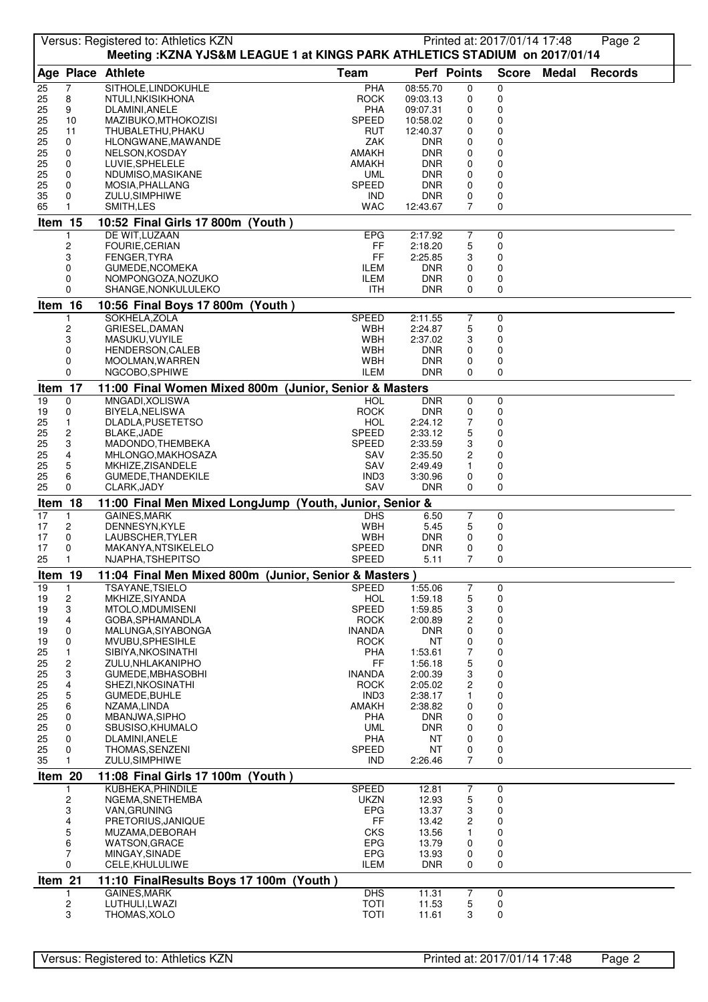|          |                         | Versus: Registered to: Athletics KZN<br>Meeting: KZNA YJS&M LEAGUE 1 at KINGS PARK ATHLETICS STADIUM on 2017/01/14 |                            |                          |                | Printed at: 2017/01/14 17:48 |              | Page 2         |  |
|----------|-------------------------|--------------------------------------------------------------------------------------------------------------------|----------------------------|--------------------------|----------------|------------------------------|--------------|----------------|--|
|          |                         | Age Place Athlete                                                                                                  | <b>Team</b>                |                          | Perf Points    | <b>Score</b>                 | <b>Medal</b> | <b>Records</b> |  |
| 25       | 7                       | SITHOLE, LINDOKUHLE                                                                                                | PHA                        | 08:55.70                 | 0              | 0                            |              |                |  |
| 25       | 8                       | NTULI, NKISIKHONA                                                                                                  | <b>ROCK</b>                | 09:03.13                 | 0              | 0                            |              |                |  |
| 25<br>25 | 9<br>10                 | DLAMINI, ANELE<br>MAZIBUKO, MTHOKOZISI                                                                             | PHA<br><b>SPEED</b>        | 09:07.31<br>10:58.02     | 0<br>0         | 0<br>0                       |              |                |  |
| 25       | 11                      | THUBALETHU, PHAKU                                                                                                  | RUT                        | 12:40.37                 | 0              | 0                            |              |                |  |
| 25       | 0                       | HLONGWANE, MAWANDE                                                                                                 | ZAK                        | <b>DNR</b>               | 0              | 0                            |              |                |  |
| 25       | 0                       | NELSON, KOSDAY                                                                                                     | AMAKH                      | <b>DNR</b>               | 0              | 0                            |              |                |  |
| 25<br>25 | 0<br>0                  | LUVIE, SPHELELE                                                                                                    | AMAKH<br><b>UML</b>        | <b>DNR</b><br><b>DNR</b> | 0<br>0         | 0<br>0                       |              |                |  |
| 25       | 0                       | NDUMISO, MASIKANE<br>MOSIA, PHALLANG                                                                               | <b>SPEED</b>               | <b>DNR</b>               | 0              | 0                            |              |                |  |
| 35       | 0                       | ZULU, SIMPHIWE                                                                                                     | IND                        | <b>DNR</b>               | 0              | 0                            |              |                |  |
| 65       | 1                       | SMITH, LES                                                                                                         | WAC                        | 12:43.67                 | 7              | 0                            |              |                |  |
| Item 15  |                         | 10:52 Final Girls 17 800m (Youth)                                                                                  |                            |                          |                |                              |              |                |  |
|          |                         | DE WIT, LUZAAN                                                                                                     | <b>EPG</b>                 | 2:17.92                  | $\overline{7}$ | 0                            |              |                |  |
|          | 2<br>3                  | FOURIE, CERIAN<br>FENGER, TYRA                                                                                     | FF<br>FF                   | 2:18.20<br>2:25.85       | 5<br>3         | 0<br>0                       |              |                |  |
|          | 0                       | GUMEDE, NCOMEKA                                                                                                    | <b>ILEM</b>                | <b>DNR</b>               | 0              | 0                            |              |                |  |
|          | 0                       | NOMPONGOZA, NOZUKO                                                                                                 | <b>ILEM</b>                | <b>DNR</b>               | 0              | 0                            |              |                |  |
|          | 0                       | SHANGE, NONKULULEKO                                                                                                | ITH.                       | <b>DNR</b>               | 0              | 0                            |              |                |  |
| Item 16  |                         | 10:56 Final Boys 17 800m (Youth)                                                                                   |                            |                          |                |                              |              |                |  |
|          | 1                       | SOKHELA, ZOLA<br>GRIESEL, DAMAN                                                                                    | <b>SPEED</b>               | 2:11.55                  | 7              | 0                            |              |                |  |
|          | 2<br>3                  | MASUKU, VUYILE                                                                                                     | WBH<br>WBH                 | 2:24.87<br>2:37.02       | 5<br>3         | 0<br>0                       |              |                |  |
|          | 0                       | HENDERSON, CALEB                                                                                                   | WBH                        | <b>DNR</b>               | 0              | 0                            |              |                |  |
|          | 0                       | MOOLMAN, WARREN                                                                                                    | WBH                        | <b>DNR</b>               | 0              | 0                            |              |                |  |
|          | 0                       | NGCOBO, SPHIWE                                                                                                     | <b>ILEM</b>                | <b>DNR</b>               | $\Omega$       | $\mathbf 0$                  |              |                |  |
| Item 17  |                         | 11:00 Final Women Mixed 800m (Junior, Senior & Masters                                                             |                            |                          |                |                              |              |                |  |
| 19<br>19 | 0<br>0                  | MNGADI, XOLISWA<br>BIYELA, NELISWA                                                                                 | <b>HOL</b><br>ROCK         | <b>DNR</b><br><b>DNR</b> | 0<br>0         | 0<br>0                       |              |                |  |
| 25       | 1                       | DLADLA, PUSETETSO                                                                                                  | <b>HOL</b>                 | 2:24.12                  | 7              | 0                            |              |                |  |
| 25       | $\overline{c}$          | <b>BLAKE, JADE</b>                                                                                                 | <b>SPEED</b>               | 2:33.12                  | 5              | $\mathbf 0$                  |              |                |  |
| 25       | 3                       | MADONDO, THEMBEKA                                                                                                  | <b>SPEED</b>               | 2:33.59                  | 3              | 0                            |              |                |  |
| 25       | 4                       | MHLONGO, MAKHOSAZA                                                                                                 | SAV                        | 2:35.50                  | 2              | 0<br>0                       |              |                |  |
| 25<br>25 | 5<br>6                  | MKHIZE, ZISANDELE<br><b>GUMEDE, THANDEKILE</b>                                                                     | SAV<br>IND <sub>3</sub>    | 2:49.49<br>3:30.96       | 1<br>0         | 0                            |              |                |  |
| 25       | 0                       | CLARK, JADY                                                                                                        | SAV                        | <b>DNR</b>               | $\Omega$       | 0                            |              |                |  |
| Item 18  |                         | 11:00 Final Men Mixed LongJump (Youth, Junior, Senior &                                                            |                            |                          |                |                              |              |                |  |
| 17       | 1                       | <b>GAINES, MARK</b>                                                                                                | <b>DHS</b>                 | 6.50                     | $\overline{7}$ | 0                            |              |                |  |
| 17<br>17 | 2<br>0                  | DENNESYN, KYLE<br>LAUBSCHER, TYLER                                                                                 | WBH<br>WBH                 | 5.45<br><b>DNR</b>       | 5              | 0<br>0                       |              |                |  |
| 17       | 0                       | MAKANYA, NTSIKELELO                                                                                                | <b>SPEED</b>               | <b>DNR</b>               | 0<br>0         | 0                            |              |                |  |
| 25       | 1                       | NJAPHA, TSHEPITSO                                                                                                  | <b>SPEED</b>               | 5.11                     | 7              | 0                            |              |                |  |
| Item 19  |                         | 11:04 Final Men Mixed 800m (Junior, Senior & Masters)                                                              |                            |                          |                |                              |              |                |  |
| 19       | $\mathbf{1}$            | <b>TSAYANE, TSIELO</b>                                                                                             | <b>SPEED</b>               | 1:55.06                  | $\overline{7}$ | 0                            |              |                |  |
| 19       | $\overline{\mathbf{c}}$ | MKHIZE, SIYANDA<br>MTOLO, MDUMISENI                                                                                | <b>HOL</b><br><b>SPEED</b> | 1:59.18                  | 5              | 0                            |              |                |  |
| 19<br>19 | 3<br>4                  | GOBA, SPHAMANDLA                                                                                                   | <b>ROCK</b>                | 1:59.85<br>2:00.89       | 3<br>2         | 0<br>0                       |              |                |  |
| 19       | 0                       | MALUNGA, SIYABONGA                                                                                                 | <b>INANDA</b>              | <b>DNR</b>               | 0              | 0                            |              |                |  |
| 19       | 0                       | MVUBU, SPHESIHLE                                                                                                   | <b>ROCK</b>                | NT                       | 0              | 0                            |              |                |  |
| 25       | 1                       | SIBIYA, NKOSINATHI                                                                                                 | PHA                        | 1:53.61                  | 7              | 0                            |              |                |  |
| 25<br>25 | 2<br>3                  | ZULU, NHLAKANIPHO<br>GUMEDE,MBHASOBHI                                                                              | FF<br><b>INANDA</b>        | 1:56.18<br>2:00.39       | 5<br>3         | 0<br>0                       |              |                |  |
| 25       | 4                       | SHEZI, NKOSINATHI                                                                                                  | <b>ROCK</b>                | 2:05.02                  | 2              | 0                            |              |                |  |
| 25       | 5                       | GUMEDE, BUHLE                                                                                                      | IND <sub>3</sub>           | 2:38.17                  | 1              | 0                            |              |                |  |
| 25       | 6                       | NZAMA,LINDA                                                                                                        | <b>AMAKH</b>               | 2:38.82                  | 0              | 0                            |              |                |  |
| 25<br>25 | 0<br>0                  | MBANJWA, SIPHO                                                                                                     | PHA<br><b>UML</b>          | DNR<br>DNR               | 0<br>0         | 0<br>0                       |              |                |  |
| 25       | 0                       | SBUSISO, KHUMALO<br>DLAMINI, ANELE                                                                                 | PHA                        | NT                       | 0              | 0                            |              |                |  |
| 25       | 0                       | THOMAS, SENZENI                                                                                                    | <b>SPEED</b>               | NT                       | 0              | 0                            |              |                |  |
| 35       |                         | ZULU, SIMPHIWE                                                                                                     | IND                        | 2:26.46                  | 7              | 0                            |              |                |  |
| Item 20  |                         | 11:08 Final Girls 17 100m (Youth)                                                                                  |                            |                          |                |                              |              |                |  |
|          |                         | KUBHEKA, PHINDILE                                                                                                  | <b>SPEED</b>               | 12.81                    | 7              | 0                            |              |                |  |
|          | 2<br>3                  | NGEMA, SNETHEMBA<br>VAN, GRUNING                                                                                   | <b>UKZN</b><br><b>EPG</b>  | 12.93<br>13.37           | 5<br>3         | 0<br>0                       |              |                |  |
|          | 4                       | PRETORIUS, JANIQUE                                                                                                 | FF                         | 13.42                    | 2              | 0                            |              |                |  |
|          | 5                       | MUZAMA, DEBORAH                                                                                                    | <b>CKS</b>                 | 13.56                    | 1              | 0                            |              |                |  |
|          | 6                       | <b>WATSON, GRACE</b>                                                                                               | <b>EPG</b>                 | 13.79                    | 0              | 0                            |              |                |  |
|          | 7<br>0                  | MINGAY, SINADE<br>CELE, KHULULIWE                                                                                  | EPG<br><b>ILEM</b>         | 13.93<br><b>DNR</b>      | 0<br>0         | 0<br>0                       |              |                |  |
| Item 21  |                         | 11:10 FinalResults Boys 17 100m (Youth)                                                                            |                            |                          |                |                              |              |                |  |
|          |                         | <b>GAINES, MARK</b>                                                                                                | <b>DHS</b>                 | 11.31                    | 7              | 0                            |              |                |  |
|          | 2                       | LUTHULI,LWAZI                                                                                                      | <b>TOTI</b>                | 11.53                    | 5              | 0                            |              |                |  |
|          | 3                       | THOMAS, XOLO                                                                                                       | <b>TOTI</b>                | 11.61                    | 3              | 0                            |              |                |  |
|          |                         |                                                                                                                    |                            |                          |                |                              |              |                |  |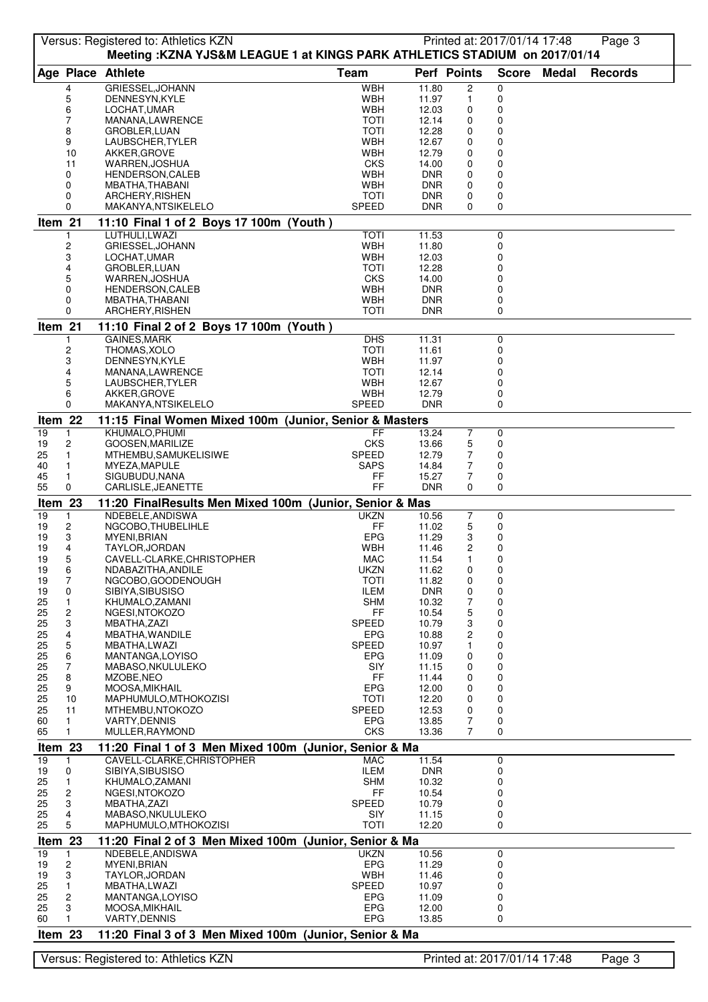|          |                         | Versus: Registered to: Athletics KZN<br>Meeting: KZNA YJS&M LEAGUE 1 at KINGS PARK ATHLETICS STADIUM on 2017/01/14 |                           |                          |                | Printed at: 2017/01/14 17:48 |              | Page 3         |  |
|----------|-------------------------|--------------------------------------------------------------------------------------------------------------------|---------------------------|--------------------------|----------------|------------------------------|--------------|----------------|--|
|          |                         | Age Place Athlete                                                                                                  | <b>Team</b>               | Perf Points              |                | <b>Score</b>                 | <b>Medal</b> | <b>Records</b> |  |
|          | 4                       | GRIESSEL, JOHANN                                                                                                   | <b>WBH</b>                | 11.80                    | $\overline{c}$ | 0                            |              |                |  |
|          | 5                       | DENNESYN, KYLE                                                                                                     | WBH                       | 11.97                    | 1              | 0                            |              |                |  |
|          | 6                       | LOCHAT, UMAR                                                                                                       | <b>WBH</b>                | 12.03                    | 0              | 0                            |              |                |  |
|          | 7                       | MANANA,LAWRENCE                                                                                                    | <b>TOTI</b>               | 12.14                    | 0              | 0                            |              |                |  |
|          | 8<br>9                  | GROBLER, LUAN<br>LAUBSCHER, TYLER                                                                                  | <b>TOTI</b><br><b>WBH</b> | 12.28<br>12.67           | 0<br>0         | 0<br>0                       |              |                |  |
|          | 10                      | AKKER, GROVE                                                                                                       | WBH                       | 12.79                    | 0              | 0                            |              |                |  |
|          | 11                      | WARREN, JOSHUA                                                                                                     | <b>CKS</b>                | 14.00                    | 0              | 0                            |              |                |  |
|          | 0                       | <b>HENDERSON, CALEB</b>                                                                                            | WBH                       | <b>DNR</b>               | 0              | 0                            |              |                |  |
|          | 0                       | MBATHA, THABANI                                                                                                    | WBH                       | <b>DNR</b>               | 0              | 0                            |              |                |  |
|          | 0                       | ARCHERY, RISHEN                                                                                                    | TOTI                      | <b>DNR</b>               | 0              | 0                            |              |                |  |
|          | 0                       | MAKANYA, NTSIKELELO                                                                                                | SPEED                     | <b>DNR</b>               | 0              | 0                            |              |                |  |
| Item 21  | 1                       | 11:10 Final 1 of 2 Boys 17 100m (Youth)<br>LUTHULI,LWAZI                                                           | <b>TOTI</b>               | 11.53                    |                | 0                            |              |                |  |
|          | 2                       | GRIESSEL, JOHANN                                                                                                   | <b>WBH</b>                | 11.80                    |                | 0                            |              |                |  |
|          | 3                       | LOCHAT, UMAR                                                                                                       | <b>WBH</b>                | 12.03                    |                | 0                            |              |                |  |
|          | 4                       | GROBLER, LUAN                                                                                                      | TOTI                      | 12.28                    |                | 0                            |              |                |  |
|          | 5                       | WARREN, JOSHUA                                                                                                     | <b>CKS</b>                | 14.00                    |                | 0                            |              |                |  |
|          | 0                       | HENDERSON, CALEB                                                                                                   | <b>WBH</b>                | <b>DNR</b>               |                | 0                            |              |                |  |
|          | 0<br>0                  | MBATHA, THABANI<br>ARCHERY, RISHEN                                                                                 | <b>WBH</b><br><b>TOTI</b> | <b>DNR</b><br><b>DNR</b> |                | 0<br>$\Omega$                |              |                |  |
| Item 21  |                         | 11:10 Final 2 of 2 Boys 17 100m (Youth)                                                                            |                           |                          |                |                              |              |                |  |
|          |                         | GAINES, MARK                                                                                                       | <b>DHS</b>                | 11.31                    |                | 0                            |              |                |  |
|          | 2                       | THOMAS, XOLO                                                                                                       | <b>TOTI</b>               | 11.61                    |                | 0                            |              |                |  |
|          | 3                       | DENNESYN, KYLE                                                                                                     | <b>WBH</b>                | 11.97                    |                | 0                            |              |                |  |
|          | 4                       | MANANA,LAWRENCE                                                                                                    | TOTI                      | 12.14                    |                | 0                            |              |                |  |
|          | 5                       | LAUBSCHER, TYLER                                                                                                   | WBH                       | 12.67                    |                | 0                            |              |                |  |
|          | 6<br>0                  | AKKER, GROVE                                                                                                       | WBH                       | 12.79                    |                | 0                            |              |                |  |
|          |                         | MAKANYA, NTSIKELELO                                                                                                | <b>SPEED</b>              | <b>DNR</b>               |                | $\mathbf 0$                  |              |                |  |
| Item 22  |                         | 11:15 Final Women Mixed 100m (Junior, Senior & Masters                                                             |                           |                          |                |                              |              |                |  |
| 19       | 1                       | KHUMALO, PHUMI                                                                                                     | FF                        | 13.24                    | 7              | 0                            |              |                |  |
| 19<br>25 | 2<br>1                  | GOOSEN, MARILIZE<br>MTHEMBU, SAMUKELISIWE                                                                          | <b>CKS</b><br>SPEED       | 13.66<br>12.79           | 5<br>7         | 0<br>0                       |              |                |  |
| 40       | 1                       | MYEZA, MAPULE                                                                                                      | <b>SAPS</b>               | 14.84                    | 7              | 0                            |              |                |  |
| 45       | 1                       | SIGUBUDU, NANA                                                                                                     | FF                        | 15.27                    | 7              | 0                            |              |                |  |
| 55       | 0                       | CARLISLE, JEANETTE                                                                                                 | <b>FF</b>                 | <b>DNR</b>               | $\Omega$       | 0                            |              |                |  |
| Item 23  |                         | 11:20 FinalResults Men Mixed 100m (Junior, Senior & Mas                                                            |                           |                          |                |                              |              |                |  |
| 19       | $\mathbf{1}$            | NDEBELE.ANDISWA                                                                                                    | <b>UKZN</b>               | 10.56                    | 7              | 0                            |              |                |  |
| 19       | 2                       | NGCOBO, THUBELIHLE                                                                                                 | FF<br><b>EPG</b>          | 11.02                    | 5              | 0                            |              |                |  |
| 19<br>19 | 3<br>4                  | MYENI, BRIAN<br>TAYLOR, JORDAN                                                                                     | <b>WBH</b>                | 11.29<br>11.46           | 3<br>2         | 0<br>0                       |              |                |  |
| 19       | 5                       | CAVELL-CLARKE, CHRISTOPHER                                                                                         | MAC                       | 11.54                    | 1              | 0                            |              |                |  |
| 19       | 6                       | NDABAZITHA, ANDILE                                                                                                 | <b>UKZN</b>               | 11.62                    | 0              | 0                            |              |                |  |
| 19       | 7                       | NGCOBO, GOODENOUGH                                                                                                 | <b>TOTI</b>               | 11.82                    | 0              | 0                            |              |                |  |
| 19       | 0                       | SIBIYA, SIBUSISO                                                                                                   | ILEM                      | <b>DNR</b>               | 0              | 0                            |              |                |  |
| 25<br>25 | 1<br>$\overline{c}$     | KHUMALO, ZAMANI<br>NGESI, NTOKOZO                                                                                  | <b>SHM</b><br>FF          | 10.32<br>10.54           | 7<br>5         | 0<br>0                       |              |                |  |
| 25       | 3                       | MBATHA, ZAZI                                                                                                       | <b>SPEED</b>              | 10.79                    | 3              | 0                            |              |                |  |
| 25       | 4                       | MBATHA, WANDILE                                                                                                    | EPG                       | 10.88                    | 2              | 0                            |              |                |  |
| 25       | 5                       | MBATHA,LWAZI                                                                                                       | <b>SPEED</b>              | 10.97                    | 1              | 0                            |              |                |  |
| 25       | 6                       | MANTANGA, LOYISO                                                                                                   | EPG                       | 11.09                    | 0              | 0                            |              |                |  |
| 25       | 7                       | MABASO, NKULULEKO                                                                                                  | SIY                       | 11.15                    | 0              | 0                            |              |                |  |
| 25<br>25 | 8<br>9                  | MZOBE, NEO<br>MOOSA, MIKHAIL                                                                                       | FF<br><b>EPG</b>          | 11.44<br>12.00           | 0<br>0         | 0<br>0                       |              |                |  |
| 25       | 10                      | MAPHUMULO, MTHOKOZISI                                                                                              | TOTI                      | 12.20                    | 0              | 0                            |              |                |  |
| 25       | 11                      | MTHEMBU, NTOKOZO                                                                                                   | SPEED                     | 12.53                    | 0              | 0                            |              |                |  |
| 60       | $\mathbf{1}$            | <b>VARTY, DENNIS</b>                                                                                               | <b>EPG</b>                | 13.85                    | 7              | 0                            |              |                |  |
| 65       | $\mathbf{1}$            | MULLER, RAYMOND                                                                                                    | <b>CKS</b>                | 13.36                    | 7              | 0                            |              |                |  |
| Item 23  |                         | 11:20 Final 1 of 3 Men Mixed 100m (Junior, Senior & Ma                                                             |                           |                          |                |                              |              |                |  |
| 19       | $\mathbf{1}$            | CAVELL-CLARKE, CHRISTOPHER                                                                                         | MAC                       | 11.54                    |                | 0                            |              |                |  |
| 19<br>25 | 0<br>1                  | SIBIYA, SIBUSISO<br>KHUMALO, ZAMANI                                                                                | <b>ILEM</b><br><b>SHM</b> | <b>DNR</b><br>10.32      |                | 0<br>0                       |              |                |  |
| 25       | 2                       | NGESI, NTOKOZO                                                                                                     | FF                        | 10.54                    |                | 0                            |              |                |  |
| 25       | 3                       | MBATHA, ZAZI                                                                                                       | SPEED                     | 10.79                    |                | 0                            |              |                |  |
| 25       | 4                       | MABASO, NKULULEKO                                                                                                  | SIY                       | 11.15                    |                | 0                            |              |                |  |
| 25       | 5                       | MAPHUMULO, MTHOKOZISI                                                                                              | <b>TOTI</b>               | 12.20                    |                | 0                            |              |                |  |
| Item 23  |                         | 11:20 Final 2 of 3 Men Mixed 100m (Junior, Senior & Ma                                                             |                           |                          |                |                              |              |                |  |
| 19       | 1                       | NDEBELE, ANDISWA                                                                                                   | <b>UKZN</b>               | 10.56                    |                | 0                            |              |                |  |
| 19<br>19 | 2<br>3                  | MYENI, BRIAN<br>TAYLOR, JORDAN                                                                                     | <b>EPG</b><br><b>WBH</b>  | 11.29<br>11.46           |                | 0<br>0                       |              |                |  |
| 25       | 1                       | MBATHA,LWAZI                                                                                                       | SPEED                     | 10.97                    |                | 0                            |              |                |  |
| 25       | $\overline{\mathbf{c}}$ | MANTANGA, LOYISO                                                                                                   | EPG                       | 11.09                    |                | 0                            |              |                |  |
| 25       | 3                       | MOOSA, MIKHAIL                                                                                                     | EPG                       | 12.00                    |                | 0                            |              |                |  |
| 60       | 1                       | <b>VARTY, DENNIS</b>                                                                                               | <b>EPG</b>                | 13.85                    |                | 0                            |              |                |  |
| Item 23  |                         | 11:20 Final 3 of 3 Men Mixed 100m (Junior, Senior & Ma                                                             |                           |                          |                |                              |              |                |  |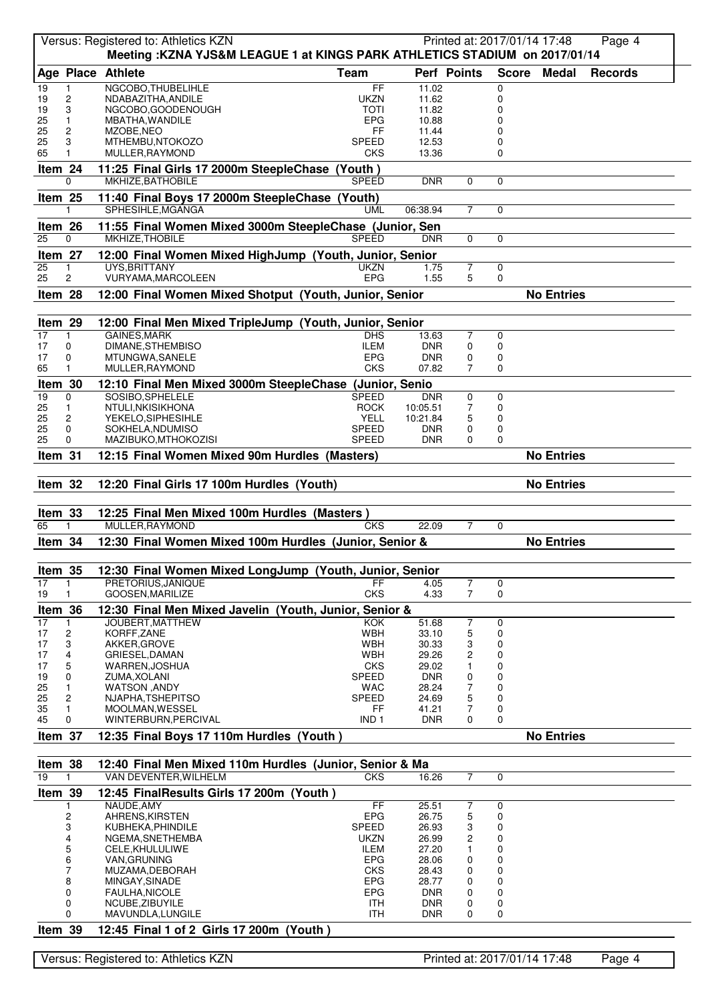|                 |                              | Versus: Registered to: Athletics KZN                                                            |                              |                          |                | Printed at: 2017/01/14 17:48 |                   | Page 4         |
|-----------------|------------------------------|-------------------------------------------------------------------------------------------------|------------------------------|--------------------------|----------------|------------------------------|-------------------|----------------|
|                 |                              | Meeting: KZNA YJS&M LEAGUE 1 at KINGS PARK ATHLETICS STADIUM on 2017/01/14<br>Age Place Athlete | <b>Team</b>                  | Perf Points              |                |                              | <b>Medal</b>      | <b>Records</b> |
|                 |                              |                                                                                                 | FF                           |                          |                | <b>Score</b>                 |                   |                |
| 19<br>19        | 1<br>2                       | NGCOBO, THUBELIHLE<br>NDABAZITHA, ANDILE                                                        | <b>UKZN</b>                  | 11.02<br>11.62           |                | 0<br>0                       |                   |                |
| 19              | 3                            | NGCOBO, GOODENOUGH                                                                              | TOTI                         | 11.82                    |                | 0                            |                   |                |
| 25              | 1                            | MBATHA, WANDILE                                                                                 | <b>EPG</b>                   | 10.88                    |                | 0                            |                   |                |
| 25              | 2                            | MZOBE, NEO                                                                                      | FF                           | 11.44                    |                | 0                            |                   |                |
| 25<br>65        | 3<br>1                       | MTHEMBU, NTOKOZO                                                                                | SPEED<br><b>CKS</b>          | 12.53<br>13.36           |                | 0<br>0                       |                   |                |
|                 |                              | MULLER, RAYMOND                                                                                 |                              |                          |                |                              |                   |                |
| Item 24         |                              | 11:25 Final Girls 17 2000m SteepleChase (Youth)                                                 |                              |                          |                |                              |                   |                |
|                 | $\Omega$                     | MKHIZE, BATHOBILE                                                                               | <b>SPEED</b>                 | <b>DNR</b>               | $\Omega$       | $\Omega$                     |                   |                |
| Item 25         |                              | 11:40 Final Boys 17 2000m SteepleChase (Youth)                                                  |                              |                          |                |                              |                   |                |
|                 | 1                            | SPHESIHLE, MGANGA                                                                               | <b>UML</b>                   | 06:38.94                 | $\overline{7}$ | $\Omega$                     |                   |                |
| Item 26         |                              | 11:55 Final Women Mixed 3000m SteepleChase (Junior, Sen                                         |                              |                          |                |                              |                   |                |
| 25              | $\Omega$                     | MKHIZE, THOBILE                                                                                 | <b>SPEED</b>                 | <b>DNR</b>               | $\Omega$       | $\Omega$                     |                   |                |
| Item 27         |                              | 12:00 Final Women Mixed HighJump (Youth, Junior, Senior                                         |                              |                          |                |                              |                   |                |
| 25              | $\mathbf{1}$                 | UYS, BRITTANY                                                                                   | <b>UKZN</b>                  | 1.75                     | $\overline{7}$ | 0                            |                   |                |
| 25              | 2                            | VURYAMA, MARCOLEEN                                                                              | <b>EPG</b>                   | 1.55                     | 5              | 0                            |                   |                |
| Item 28         |                              | 12:00 Final Women Mixed Shotput (Youth, Junior, Senior                                          |                              |                          |                |                              | <b>No Entries</b> |                |
|                 |                              |                                                                                                 |                              |                          |                |                              |                   |                |
| Item 29         |                              | 12:00 Final Men Mixed TripleJump (Youth, Junior, Senior                                         |                              |                          |                |                              |                   |                |
| 17              | 1                            | <b>GAINES, MARK</b><br>DIMANE.STHEMBISO                                                         | <b>DHS</b>                   | 13.63                    | 7              | 0                            |                   |                |
| 17<br>17        | 0<br>0                       | MTUNGWA, SANELE                                                                                 | <b>ILEM</b><br><b>EPG</b>    | <b>DNR</b><br><b>DNR</b> | 0<br>0         | 0<br>0                       |                   |                |
| 65              | 1                            | MULLER, RAYMOND                                                                                 | <b>CKS</b>                   | 07.82                    | 7              | $\Omega$                     |                   |                |
| Item 30         |                              | 12:10 Final Men Mixed 3000m SteepleChase (Junior, Senio                                         |                              |                          |                |                              |                   |                |
| 19              | 0                            | SOSIBO, SPHELELE                                                                                | <b>SPEED</b>                 | <b>DNR</b>               | 0              | 0                            |                   |                |
| 25              | 1                            | NTULI, NKISIKHONA                                                                               | <b>ROCK</b>                  | 10:05.51                 | 7              | 0                            |                   |                |
| 25              | 2                            | YEKELO, SIPHESIHLE                                                                              | <b>YELL</b>                  | 10:21.84                 | 5              | 0                            |                   |                |
| 25              | 0<br>0                       | SOKHELA, NDUMISO                                                                                | <b>SPEED</b><br><b>SPEED</b> | <b>DNR</b>               | 0              | 0<br>$\Omega$                |                   |                |
| 25              |                              | MAZIBUKO, MTHOKOZISI                                                                            |                              | <b>DNR</b>               | 0              |                              |                   |                |
| Item 31         |                              | 12:15 Final Women Mixed 90m Hurdles (Masters)                                                   |                              |                          |                |                              | <b>No Entries</b> |                |
|                 |                              | 12:20 Final Girls 17 100m Hurdles (Youth)                                                       |                              |                          |                |                              |                   |                |
|                 |                              |                                                                                                 |                              |                          |                |                              | <b>No Entries</b> |                |
| Item 32         |                              |                                                                                                 |                              |                          |                |                              |                   |                |
|                 |                              |                                                                                                 |                              |                          |                |                              |                   |                |
| Item 33         |                              | 12:25 Final Men Mixed 100m Hurdles (Masters)                                                    |                              |                          |                |                              |                   |                |
| 65              | 1                            | MULLER.RAYMOND                                                                                  | <b>CKS</b>                   | 22.09                    | $\overline{7}$ | $\mathbf 0$                  |                   |                |
| Item 34         |                              | 12:30 Final Women Mixed 100m Hurdles (Junior, Senior &                                          |                              |                          |                |                              | <b>No Entries</b> |                |
|                 |                              |                                                                                                 |                              |                          |                |                              |                   |                |
| Item 35         |                              | 12:30 Final Women Mixed LongJump (Youth, Junior, Senior                                         |                              |                          |                |                              |                   |                |
| $\overline{17}$ | 1                            | PRETORIUS.JANIQUE                                                                               | FF                           | 4.05                     | 7              | 0                            |                   |                |
| 19              |                              | GOOSEN, MARILIZE                                                                                | <b>CKS</b>                   | 4.33                     | $\overline{7}$ | 0                            |                   |                |
| Item 36         |                              | 12:30 Final Men Mixed Javelin (Youth, Junior, Senior &                                          |                              |                          |                |                              |                   |                |
| 17              | 1                            | JOUBERT, MATTHEW                                                                                | <b>KOK</b>                   | $\overline{5}1.68$       | 7              | 0                            |                   |                |
| 17<br>17        | 2<br>3                       | KORFF, ZANE<br>AKKER, GROVE                                                                     | <b>WBH</b><br><b>WBH</b>     | 33.10<br>30.33           | 5<br>3         | 0<br>0                       |                   |                |
| 17              | 4                            | GRIESEL, DAMAN                                                                                  | <b>WBH</b>                   | 29.26                    | 2              | 0                            |                   |                |
| 17              | 5                            | WARREN, JOSHUA                                                                                  | <b>CKS</b>                   | 29.02                    | 1              | 0                            |                   |                |
| 19              | 0                            | ZUMA, XOLANI                                                                                    | SPEED                        | <b>DNR</b>               | 0              | 0                            |                   |                |
| 25<br>25        | 1<br>$\overline{\mathbf{c}}$ | WATSON, ANDY<br>NJAPHA, TSHEPITSO                                                               | <b>WAC</b><br>SPEED          | 28.24<br>24.69           | 7<br>5         | 0<br>0                       |                   |                |
| 35              | 1                            | MOOLMAN, WESSEL                                                                                 | FF                           | 41.21                    | 7              | 0                            |                   |                |
| 45              | 0                            | WINTERBURN, PERCIVAL                                                                            | IND <sub>1</sub>             | <b>DNR</b>               | 0              | 0                            |                   |                |
| Item 37         |                              | 12:35 Final Boys 17 110m Hurdles (Youth)                                                        |                              |                          |                |                              | <b>No Entries</b> |                |
|                 |                              |                                                                                                 |                              |                          |                |                              |                   |                |
| Item 38         |                              | 12:40 Final Men Mixed 110m Hurdles (Junior, Senior & Ma                                         |                              |                          |                |                              |                   |                |
| 19              | 1                            | VAN DEVENTER, WILHELM                                                                           | <b>CKS</b>                   | 16.26                    | $\overline{7}$ | 0                            |                   |                |
| Item 39         |                              | 12:45 FinalResults Girls 17 200m (Youth)                                                        |                              |                          |                |                              |                   |                |
|                 |                              | NAUDE, AMY                                                                                      | FF                           | 25.51                    | 7              | 0                            |                   |                |
|                 | 2                            | AHRENS, KIRSTEN                                                                                 | <b>EPG</b>                   | 26.75                    | 5              | 0                            |                   |                |
|                 | 3                            | KUBHEKA, PHINDILE                                                                               | SPEED                        | 26.93                    | 3              | 0                            |                   |                |
|                 | 4                            | NGEMA, SNETHEMBA                                                                                | <b>UKZN</b>                  | 26.99                    | 2              | 0                            |                   |                |
|                 | 5<br>6                       | CELE, KHULULIWE<br>VAN, GRUNING                                                                 | ILEM<br>EPG                  | 27.20<br>28.06           | 0              | 0<br>0                       |                   |                |
|                 | $\overline{7}$               | MUZAMA, DEBORAH                                                                                 | <b>CKS</b>                   | 28.43                    | 0              | 0                            |                   |                |
|                 | 8                            | MINGAY, SINADE                                                                                  | <b>EPG</b>                   | 28.77                    | 0              | 0                            |                   |                |
|                 | 0                            | FAULHA, NICOLE                                                                                  | EPG                          | <b>DNR</b>               | 0              | 0                            |                   |                |
|                 | 0<br>0                       | NCUBE, ZIBUYILE<br>MAVUNDLA, LUNGILE                                                            | ITH<br>ITH                   | <b>DNR</b><br>DNR        | 0<br>0         | 0<br>0                       |                   |                |
| Item 39         |                              | 12:45 Final 1 of 2 Girls 17 200m (Youth)                                                        |                              |                          |                |                              |                   |                |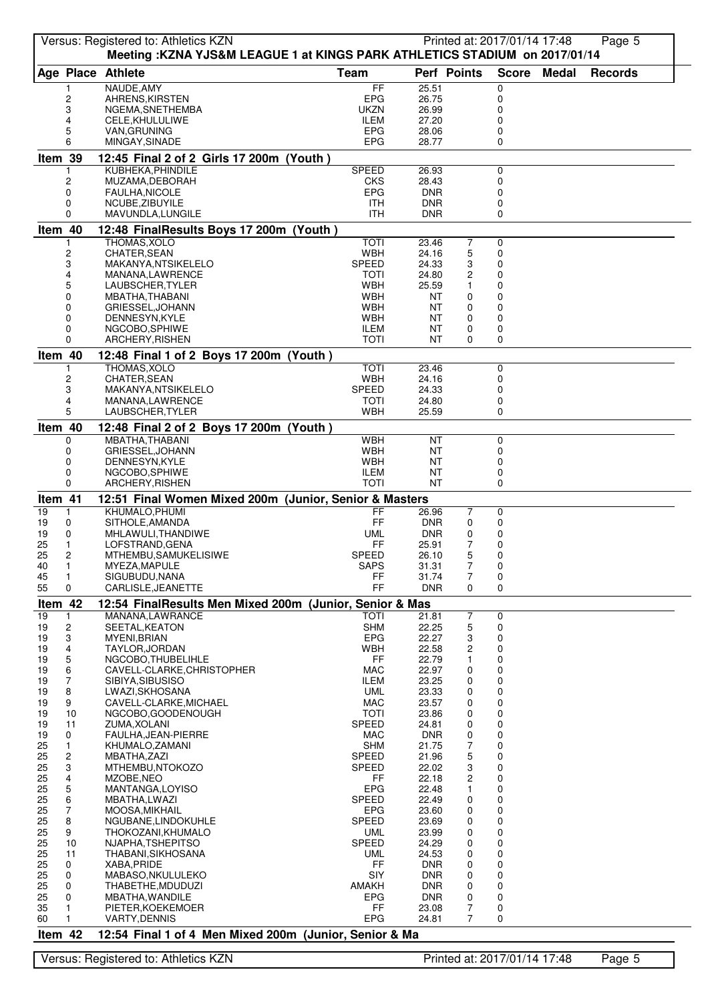|               |                     | Versus: Registered to: Athletics KZN<br>Meeting: KZNA YJS&M LEAGUE 1 at KINGS PARK ATHLETICS STADIUM on 2017/01/14 |                             |                          | Printed at: 2017/01/14 17:48 |              |              | Page 5         |
|---------------|---------------------|--------------------------------------------------------------------------------------------------------------------|-----------------------------|--------------------------|------------------------------|--------------|--------------|----------------|
|               |                     | Age Place Athlete                                                                                                  | Team                        | Perf Points              |                              | <b>Score</b> | <b>Medal</b> | <b>Records</b> |
|               | 1                   | NAUDE, AMY                                                                                                         | FF                          | 25.51                    | 0                            |              |              |                |
|               | 2<br>3              | AHRENS, KIRSTEN<br>NGEMA, SNETHEMBA                                                                                | EPG<br><b>UKZN</b>          | 26.75<br>26.99           | 0<br>0                       |              |              |                |
|               | 4                   | CELE, KHULULIWE                                                                                                    | ILEM                        | 27.20                    | 0                            |              |              |                |
|               | 5                   | VAN, GRUNING                                                                                                       | EPG                         | 28.06                    | 0                            |              |              |                |
| Item 39       | 6                   | MINGAY, SINADE                                                                                                     | EPG                         | 28.77                    | 0                            |              |              |                |
|               |                     | 12:45 Final 2 of 2 Girls 17 200m (Youth)<br>KUBHEKA, PHINDILE                                                      | <b>SPEED</b>                | 26.93                    | 0                            |              |              |                |
|               | 2                   | MUZAMA, DEBORAH                                                                                                    | <b>CKS</b>                  | 28.43                    | 0                            |              |              |                |
|               | 0<br>0              | FAULHA, NICOLE<br>NCUBE, ZIBUYILE                                                                                  | <b>EPG</b><br>ITH           | <b>DNR</b><br><b>DNR</b> | 0<br>0                       |              |              |                |
|               | 0                   | MAVUNDLA, LUNGILE                                                                                                  | <b>ITH</b>                  | <b>DNR</b>               | $\Omega$                     |              |              |                |
| Item 40       |                     | 12:48 FinalResults Boys 17 200m (Youth)                                                                            |                             |                          |                              |              |              |                |
|               | 2                   | THOMAS, XOLO<br>CHATER, SEAN                                                                                       | <b>TOTI</b><br><b>WBH</b>   | 23.46<br>24.16           | 7<br>0<br>5<br>0             |              |              |                |
|               | 3                   | MAKANYA, NTSIKELELO                                                                                                | SPEED                       | 24.33                    | 3<br>0                       |              |              |                |
|               | 4                   | MANANA, LAWRENCE                                                                                                   | <b>TOTI</b><br><b>WBH</b>   | 24.80                    | 2<br>0<br>0                  |              |              |                |
|               | 5<br>0              | LAUBSCHER, TYLER<br>MBATHA, THABANI                                                                                | <b>WBH</b>                  | 25.59<br>ΝT              | 0<br>0                       |              |              |                |
|               | 0                   | GRIESSEL, JOHANN                                                                                                   | <b>WBH</b>                  | ΝT                       | 0<br>0                       |              |              |                |
|               | 0<br>0              | DENNESYN, KYLE<br>NGCOBO, SPHIWE                                                                                   | <b>WBH</b><br><b>ILEM</b>   | ΝT<br>ΝT                 | 0<br>0<br>0<br>0             |              |              |                |
|               | 0                   | ARCHERY, RISHEN                                                                                                    | <b>TOTI</b>                 | NT                       | $\Omega$<br>0                |              |              |                |
| Item 40       |                     | 12:48 Final 1 of 2 Boys 17 200m (Youth)                                                                            |                             |                          |                              |              |              |                |
|               | 2                   | THOMAS, XOLO<br><b>CHATER, SEAN</b>                                                                                | <b>TOTI</b><br><b>WBH</b>   | 23.46<br>24.16           | 0<br>0                       |              |              |                |
|               | 3                   | MAKANYA,NTSIKELELO                                                                                                 | SPEED                       | 24.33                    | 0                            |              |              |                |
|               | 4<br>5              | MANANA,LAWRENCE                                                                                                    | TOTI<br><b>WBH</b>          | 24.80                    | 0<br>$\Omega$                |              |              |                |
|               |                     | LAUBSCHER, TYLER                                                                                                   |                             | 25.59                    |                              |              |              |                |
| Item 40       | 0                   | 12:48 Final 2 of 2 Boys 17 200m (Youth)<br>MBATHA, THABANI                                                         | <b>WBH</b>                  | <b>NT</b>                | 0                            |              |              |                |
|               | 0                   | GRIESSEL, JOHANN                                                                                                   | <b>WBH</b>                  | ΝT                       | 0                            |              |              |                |
|               | 0<br>0              | DENNESYN, KYLE<br>NGCOBO, SPHIWE                                                                                   | <b>WBH</b><br><b>ILEM</b>   | ΝT<br>ΝT                 | 0<br>0                       |              |              |                |
|               | 0                   | ARCHERY, RISHEN                                                                                                    | TOTI                        | <b>NT</b>                | $\Omega$                     |              |              |                |
| Item 41       |                     | 12:51 Final Women Mixed 200m (Junior, Senior & Masters                                                             |                             |                          |                              |              |              |                |
| 19<br>19      | 1<br>0              | KHUMALO, PHUMI<br>SITHOLE, AMANDA                                                                                  | FF<br>FF                    | 26.96<br><b>DNR</b>      | 7<br>0<br>0<br>0             |              |              |                |
| 19            | 0                   | MHLAWULI, THANDIWE                                                                                                 | UML                         | <b>DNR</b>               | 0<br>0                       |              |              |                |
| 25            | 1                   | LOFSTRAND, GENA                                                                                                    | FF                          | 25.91                    | 7<br>0                       |              |              |                |
| 25<br>40      | 2<br>1              | MTHEMBU, SAMUKELISIWE<br>MYEZA, MAPULE                                                                             | <b>SPEED</b><br><b>SAPS</b> | 26.10<br>31.31           | 5<br>0<br>7<br>0             |              |              |                |
| 45            | $\mathbf{1}$        | SIGUBUDU, NANA                                                                                                     | FF                          | 31.74                    | 7<br>0                       |              |              |                |
| 55            | 0                   | CARLISLE, JEANETTE                                                                                                 | FF                          | <b>DNR</b>               | 0<br>0                       |              |              |                |
| Item 42<br>19 | 1                   | 12:54 FinalResults Men Mixed 200m (Junior, Senior & Mas<br>MANANA, LAWRANCE                                        | TOTI                        | 21.81                    | 7<br>0                       |              |              |                |
| 19            | 2                   | SEETAL, KEATON                                                                                                     | <b>SHM</b>                  | 22.25                    | 5<br>0                       |              |              |                |
| 19<br>19      | 3<br>4              | MYENI, BRIAN<br>TAYLOR, JORDAN                                                                                     | EPG<br>WBH                  | 22.27<br>22.58           | 3<br>0<br>0<br>2             |              |              |                |
| 19            | 5                   | NGCOBO, THUBELIHLE                                                                                                 | FF                          | 22.79                    | 0<br>1                       |              |              |                |
| 19            | 6                   | CAVELL-CLARKE, CHRISTOPHER                                                                                         | MAC                         | 22.97                    | 0<br>0                       |              |              |                |
| 19<br>19      | $\overline{7}$<br>8 | SIBIYA, SIBUSISO<br>LWAZI, SKHOSANA                                                                                | <b>ILEM</b><br>UML          | 23.25<br>23.33           | 0<br>0<br>0<br>0             |              |              |                |
| 19            | 9                   | CAVELL-CLARKE, MICHAEL                                                                                             | <b>MAC</b>                  | 23.57                    | 0<br>0                       |              |              |                |
| 19<br>19      | 10<br>11            | NGCOBO, GOODENOUGH<br>ZUMA, XOLANI                                                                                 | <b>TOTI</b><br><b>SPEED</b> | 23.86<br>24.81           | 0<br>0<br>0<br>0             |              |              |                |
| 19            | 0                   | FAULHA, JEAN-PIERRE                                                                                                | MAC                         | <b>DNR</b>               | 0<br>0                       |              |              |                |
| 25            | 1<br>$\overline{c}$ | KHUMALO,ZAMANI                                                                                                     | <b>SHM</b><br>SPEED         | 21.75                    | 7<br>0<br>0                  |              |              |                |
| 25<br>25      | 3                   | MBATHA,ZAZI<br>MTHEMBU, NTOKOZO                                                                                    | SPEED                       | 21.96<br>22.02           | 5<br>0<br>3                  |              |              |                |
| 25            | 4                   | MZOBE, NEO                                                                                                         | FF                          | 22.18                    | 0<br>2                       |              |              |                |
| 25<br>25      | 5<br>6              | MANTANGA, LOYISO<br>MBATHA,LWAZI                                                                                   | EPG<br><b>SPEED</b>         | 22.48<br>22.49           | 0<br>1<br>0<br>0             |              |              |                |
| 25            | $\overline{7}$      | MOOSA, MIKHAIL                                                                                                     | <b>EPG</b>                  | 23.60                    | 0<br>0                       |              |              |                |
| 25<br>25      | 8<br>9              | NGUBANE, LINDOKUHLE<br>THOKOZANI, KHUMALO                                                                          | SPEED<br><b>UML</b>         | 23.69<br>23.99           | 0<br>0<br>0<br>0             |              |              |                |
| 25            | 10                  | NJAPHA, TSHEPITSO                                                                                                  | <b>SPEED</b>                | 24.29                    | 0<br>0                       |              |              |                |
| 25            | 11                  | THABANI, SIKHOSANA                                                                                                 | UML                         | 24.53                    | 0<br>0                       |              |              |                |
| 25<br>25      | 0<br>0              | XABA, PRIDE<br>MABASO, NKULULEKO                                                                                   | FF<br>SIY                   | <b>DNR</b><br><b>DNR</b> | 0<br>0<br>0<br>0             |              |              |                |
| 25            | 0                   | THABETHE, MDUDUZI                                                                                                  | <b>AMAKH</b>                | <b>DNR</b>               | 0<br>0                       |              |              |                |
| 25<br>35      | 0<br>1              | MBATHA, WANDILE<br>PIETER, KOEKEMOER                                                                               | EPG<br>FF                   | <b>DNR</b><br>23.08      | 0<br>0<br>7<br>0             |              |              |                |
| 60            | 1                   | <b>VARTY, DENNIS</b>                                                                                               | EPG                         | 24.81                    | 0<br>7                       |              |              |                |
| Item 42       |                     | 12:54 Final 1 of 4 Men Mixed 200m (Junior, Senior & Ma                                                             |                             |                          |                              |              |              |                |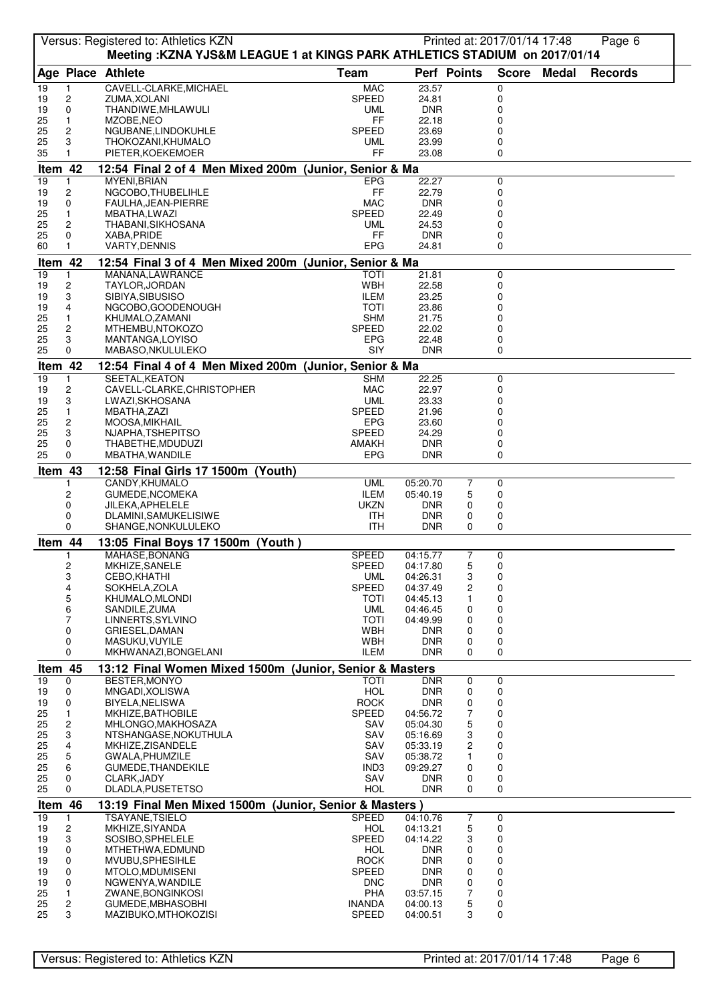|               |                                | Versus: Registered to: Athletics KZN<br>Meeting :KZNA YJS&M LEAGUE 1 at KINGS PARK ATHLETICS STADIUM on 2017/01/14 |                            |                          |                | Printed at: 2017/01/14 17:48 |              | Page 6         |  |
|---------------|--------------------------------|--------------------------------------------------------------------------------------------------------------------|----------------------------|--------------------------|----------------|------------------------------|--------------|----------------|--|
|               |                                | Age Place Athlete                                                                                                  | <b>Team</b>                | Perf Points              |                | <b>Score</b>                 | <b>Medal</b> | <b>Records</b> |  |
| 19            | 1                              | CAVELL-CLARKE, MICHAEL                                                                                             | <b>MAC</b>                 | 23.57                    |                | 0                            |              |                |  |
| 19            | $\overline{c}$                 | ZUMA, XOLANI                                                                                                       | SPEED                      | 24.81                    |                | 0                            |              |                |  |
| 19<br>25      | 0<br>$\mathbf{1}$              | THANDIWE, MHLAWULI<br>MZOBE, NEO                                                                                   | <b>UML</b><br>FF           | <b>DNR</b><br>22.18      |                | 0<br>0                       |              |                |  |
| 25            | $\overline{c}$                 | NGUBANE, LINDOKUHLE                                                                                                | <b>SPEED</b>               | 23.69                    |                | 0                            |              |                |  |
| 25            | 3                              | THOKOZANI, KHUMALO                                                                                                 | UML                        | 23.99                    |                | 0                            |              |                |  |
| 35            | $\mathbf{1}$                   | PIETER, KOEKEMOER                                                                                                  | FF                         | 23.08                    |                | 0                            |              |                |  |
| Item 42       |                                | 12:54 Final 2 of 4 Men Mixed 200m (Junior, Senior & Ma                                                             |                            |                          |                |                              |              |                |  |
| 19<br>19      | 1<br>$\overline{c}$            | MYENI, BRIAN<br>NGCOBO, THUBELIHLE                                                                                 | <b>EPG</b><br>FF           | 22.27<br>22.79           |                | 0<br>0                       |              |                |  |
| 19            | 0                              | FAULHA, JEAN-PIERRE                                                                                                | <b>MAC</b>                 | <b>DNR</b>               |                | 0                            |              |                |  |
| 25            | $\mathbf{1}$                   | MBATHA,LWAZI                                                                                                       | SPEED                      | 22.49                    |                | 0                            |              |                |  |
| 25            | $\overline{c}$                 | THABANI, SIKHOSANA                                                                                                 | UML<br>FF                  | 24.53<br><b>DNR</b>      |                | 0<br>0                       |              |                |  |
| 25<br>60      | 0                              | XABA, PRIDE<br><b>VARTY, DENNIS</b>                                                                                | <b>EPG</b>                 | 24.81                    |                | 0                            |              |                |  |
| Item 42       |                                | 12:54 Final 3 of 4 Men Mixed 200m (Junior, Senior & Ma                                                             |                            |                          |                |                              |              |                |  |
| 19            | 1                              | MANANA, LAWRANCE                                                                                                   | ΤΟΤΙ                       | 21.81                    |                | 0                            |              |                |  |
| 19            | 2                              | TAYLOR, JORDAN                                                                                                     | WBH                        | 22.58                    |                | 0                            |              |                |  |
| 19<br>19      | 3<br>4                         | SIBIYA, SIBUSISO<br>NGCOBO, GOODENOUGH                                                                             | ILEM<br>TOTI               | 23.25<br>23.86           |                | 0<br>0                       |              |                |  |
| 25            | $\mathbf{1}$                   | KHUMALO, ZAMANI                                                                                                    | SHM                        | 21.75                    |                | 0                            |              |                |  |
| 25            | $\overline{c}$                 | MTHEMBU, NTOKOZO                                                                                                   | <b>SPEED</b>               | 22.02                    |                | 0                            |              |                |  |
| 25<br>25      | 3<br>$\Omega$                  | MANTANGA, LOYISO<br>MABASO, NKULULEKO                                                                              | EPG<br>SIY                 | 22.48<br><b>DNR</b>      |                | 0<br>$\Omega$                |              |                |  |
| Item 42       |                                | 12:54 Final 4 of 4 Men Mixed 200m (Junior, Senior & Ma                                                             |                            |                          |                |                              |              |                |  |
| 19            | $\mathbf{1}$                   | SEETAL, KEATON                                                                                                     | <b>SHM</b>                 | 22.25                    |                | 0                            |              |                |  |
| 19            | $\overline{c}$                 | CAVELL-CLARKE, CHRISTOPHER                                                                                         | <b>MAC</b>                 | 22.97                    |                | 0                            |              |                |  |
| 19<br>25      | 3<br>$\mathbf{1}$              | LWAZI, SKHOSANA<br>MBATHA, ZAZI                                                                                    | <b>UML</b><br>SPEED        | 23.33<br>21.96           |                | 0<br>0                       |              |                |  |
| 25            | $\overline{c}$                 | MOOSA, MIKHAIL                                                                                                     | <b>EPG</b>                 | 23.60                    |                | 0                            |              |                |  |
| 25            | 3                              | NJAPHA, TSHEPITSO                                                                                                  | SPEED                      | 24.29                    |                | 0                            |              |                |  |
| 25<br>25      | 0<br>0                         | THABETHE, MDUDUZI<br>MBATHA, WANDILE                                                                               | <b>AMAKH</b><br><b>EPG</b> | <b>DNR</b><br><b>DNR</b> |                | 0<br>$\Omega$                |              |                |  |
| Item 43       |                                | 12:58 Final Girls 17 1500m (Youth)                                                                                 |                            |                          |                |                              |              |                |  |
|               |                                | CANDY, KHUMALO                                                                                                     | <b>UML</b>                 | 05:20.70                 | 7              | 0                            |              |                |  |
|               | 2                              | GUMEDE, NCOMEKA                                                                                                    | <b>ILEM</b>                | 05:40.19                 | 5              | 0                            |              |                |  |
|               | 0<br>0                         | JILEKA, APHELELE<br>DLAMINI, SAMUKELISIWE                                                                          | <b>UKZN</b><br><b>ITH</b>  | <b>DNR</b><br><b>DNR</b> | 0<br>0         | 0<br>0                       |              |                |  |
|               | 0                              | SHANGE, NONKULULEKO                                                                                                | ITH                        | <b>DNR</b>               | 0              | 0                            |              |                |  |
| Item 44       |                                | 13:05 Final Boys 17 1500m (Youth)                                                                                  |                            |                          |                |                              |              |                |  |
|               | 1                              | MAHASE, BONANG                                                                                                     | SPEED                      | 04:15.77                 | $\overline{7}$ | $\mathbf 0$                  |              |                |  |
|               | 2<br>3                         | MKHIZE, SANELE<br>CEBO, KHATHI                                                                                     | SPEED<br><b>UML</b>        | 04:17.80<br>04:26.31     | 5<br>3         | 0<br>0                       |              |                |  |
|               | 4                              | SOKHELA, ZOLA                                                                                                      | SPEED                      | 04:37.49                 | 2              | 0                            |              |                |  |
|               | 5                              | KHUMALO, MLONDI                                                                                                    | TOTI                       | 04:45.13                 | 1              | 0                            |              |                |  |
|               | 6<br>7                         | SANDILE, ZUMA<br>LINNERTS, SYLVINO                                                                                 | <b>UML</b><br><b>TOTI</b>  | 04:46.45<br>04:49.99     | 0<br>0         | 0<br>0                       |              |                |  |
|               | 0                              | GRIESEL, DAMAN                                                                                                     | WBH                        | <b>DNR</b>               | 0              | 0                            |              |                |  |
|               | 0                              | MASUKU, VUYILE                                                                                                     | <b>WBH</b>                 | <b>DNR</b>               | 0              | 0                            |              |                |  |
|               | $\mathbf 0$                    | MKHWANAZI, BONGELANI                                                                                               | <b>ILEM</b>                | DNR                      | 0              | 0                            |              |                |  |
| Item 45<br>19 | 0                              | 13:12 Final Women Mixed 1500m (Junior, Senior & Masters<br>BESTER, MONYO                                           | <b>TOTI</b>                | <b>DNR</b>               | 0              | 0                            |              |                |  |
| 19            | 0                              | MNGADI, XOLISWA                                                                                                    | <b>HOL</b>                 | <b>DNR</b>               | 0              | 0                            |              |                |  |
| 19            | 0                              | BIYELA, NELISWA                                                                                                    | <b>ROCK</b>                | <b>DNR</b>               | 0              | 0                            |              |                |  |
| 25<br>25      | $\mathbf{1}$<br>$\overline{c}$ | MKHIZE, BATHOBILE<br>MHLONGO, MAKHOSAZA                                                                            | SPEED<br>SAV               | 04:56.72<br>05:04.30     | 7<br>5         | 0<br>0                       |              |                |  |
| 25            | 3                              | NTSHANGASE, NOKUTHULA                                                                                              | SAV                        | 05:16.69                 | 3              | 0                            |              |                |  |
| 25            | 4                              | MKHIZE, ZISANDELE                                                                                                  | SAV                        | 05:33.19                 | 2              | $\mathbf 0$                  |              |                |  |
| 25            | $\mathbf 5$                    | GWALA, PHUMZILE                                                                                                    | SAV                        | 05:38.72                 | 1              | 0                            |              |                |  |
| 25<br>25      | 6<br>0                         | GUMEDE, THANDEKILE<br>CLARK, JADY                                                                                  | IND3<br>SAV                | 09:29.27<br>DNR.         | 0<br>0         | 0<br>0                       |              |                |  |
| 25            | 0                              | DLADLA, PUSETETSO                                                                                                  | HOL                        | DNR                      | 0              | 0                            |              |                |  |
| Item 46       |                                | 13:19 Final Men Mixed 1500m (Junior, Senior & Masters)                                                             |                            |                          |                |                              |              |                |  |
| 19            | 1                              | TSAYANE, TSIELO                                                                                                    | <b>SPEED</b>               | 04:10.76                 | $\overline{7}$ | 0                            |              |                |  |
| 19<br>19      | $\boldsymbol{2}$<br>3          | MKHIZE, SIYANDA<br>SOSIBO, SPHELELE                                                                                | <b>HOL</b><br><b>SPEED</b> | 04:13.21<br>04:14.22     | 5<br>3         | 0<br>0                       |              |                |  |
| 19            | 0                              | MTHETHWA,EDMUND                                                                                                    | <b>HOL</b>                 | DNR                      | 0              | 0                            |              |                |  |
| 19            | 0                              | MVUBU, SPHESIHLE                                                                                                   | <b>ROCK</b>                | <b>DNR</b>               | 0              | 0                            |              |                |  |
| 19<br>19      | 0<br>0                         | MTOLO, MDUMISENI<br>NGWENYA, WANDILE                                                                               | SPEED<br><b>DNC</b>        | DNR<br>DNR               | 0<br>0         | 0<br>0                       |              |                |  |
| 25            | 1                              | ZWANE, BONGINKOSI                                                                                                  | PHA                        | 03:57.15                 | 7              | 0                            |              |                |  |
| 25            | $\overline{c}$                 | GUMEDE, MBHASOBHI                                                                                                  | <b>INANDA</b>              | 04:00.13                 | 5              | 0                            |              |                |  |
| 25            | 3                              | MAZIBUKO, MTHOKOZISI                                                                                               | <b>SPEED</b>               | 04:00.51                 | 3              | 0                            |              |                |  |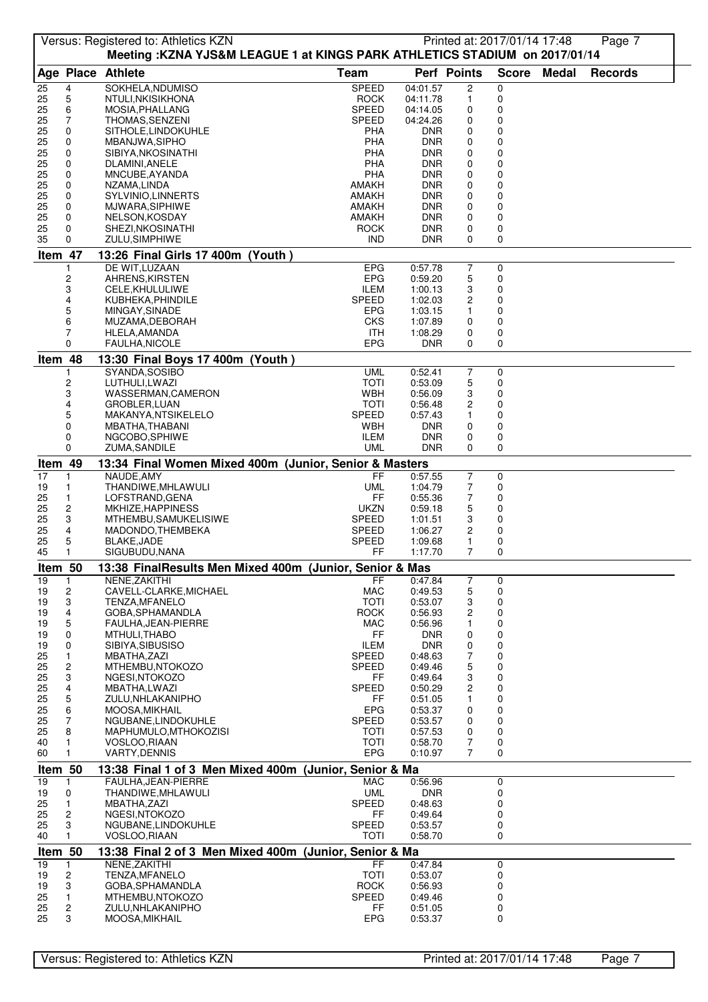|          |                         | Versus: Registered to: Athletics KZN<br>Meeting: KZNA YJS&M LEAGUE 1 at KINGS PARK ATHLETICS STADIUM on 2017/01/14 |                              |                          |                  | Printed at: 2017/01/14 17:48 |       | Page 7         |  |
|----------|-------------------------|--------------------------------------------------------------------------------------------------------------------|------------------------------|--------------------------|------------------|------------------------------|-------|----------------|--|
|          |                         | Age Place Athlete                                                                                                  | <b>Team</b>                  | Perf Points              |                  | <b>Score</b>                 | Medal | <b>Records</b> |  |
| 25       | 4                       | SOKHELA, NDUMISO                                                                                                   | SPEED                        | 04:01.57                 | $\overline{c}$   | 0                            |       |                |  |
| 25       | 5                       | NTULI, NKISIKHONA                                                                                                  | <b>ROCK</b>                  | 04:11.78                 | 1                | 0                            |       |                |  |
| 25       | 6                       | MOSIA, PHALLANG                                                                                                    | <b>SPEED</b>                 | 04:14.05                 | 0                | 0                            |       |                |  |
| 25       | 7                       | THOMAS, SENZENI                                                                                                    | <b>SPEED</b>                 | 04:24.26                 | 0                | 0                            |       |                |  |
| 25<br>25 | 0<br>0                  | SITHOLE, LINDOKUHLE<br>MBANJWA, SIPHO                                                                              | PHA<br>PHA                   | <b>DNR</b><br><b>DNR</b> | 0<br>0           | 0<br>0                       |       |                |  |
| 25       | 0                       | SIBIYA, NKOSINATHI                                                                                                 | PHA                          | <b>DNR</b>               | 0                | 0                            |       |                |  |
| 25       | 0                       | DLAMINI, ANELE                                                                                                     | PHA                          | <b>DNR</b>               | 0                | 0                            |       |                |  |
| 25       | 0                       | MNCUBE, AYANDA                                                                                                     | PHA                          | <b>DNR</b>               | 0                | 0                            |       |                |  |
| 25<br>25 | 0<br>0                  | NZAMA,LINDA<br>SYLVINIO, LINNERTS                                                                                  | <b>AMAKH</b><br><b>AMAKH</b> | <b>DNR</b><br><b>DNR</b> | 0<br>0           | 0<br>0                       |       |                |  |
| 25       | 0                       | MJWARA, SIPHIWE                                                                                                    | AMAKH                        | <b>DNR</b>               | 0                | 0                            |       |                |  |
| 25       | 0                       | NELSON, KOSDAY                                                                                                     | AMAKH                        | <b>DNR</b>               | 0                | 0                            |       |                |  |
| 25       | 0                       | SHEZI, NKOSINATHI                                                                                                  | <b>ROCK</b>                  | <b>DNR</b>               | 0                | 0                            |       |                |  |
| 35       | 0                       | ZULU, SIMPHIWE                                                                                                     | <b>IND</b>                   | <b>DNR</b>               | 0                | 0                            |       |                |  |
| Item 47  |                         | 13:26 Final Girls 17 400m (Youth)                                                                                  |                              |                          |                  |                              |       |                |  |
|          | 2                       | DE WIT, LUZAAN<br>AHRENS, KIRSTEN                                                                                  | <b>EPG</b><br><b>EPG</b>     | 0:57.78<br>0:59.20       | 7<br>5           | 0<br>0                       |       |                |  |
|          | 3                       | CELE, KHULULIWE                                                                                                    | <b>ILEM</b>                  | 1:00.13                  | 3                | 0                            |       |                |  |
|          | 4                       | KUBHEKA, PHINDILE                                                                                                  | <b>SPEED</b>                 | 1:02.03                  | 2                | 0                            |       |                |  |
|          | 5                       | MINGAY, SINADE                                                                                                     | <b>EPG</b>                   | 1:03.15                  | 1                | 0                            |       |                |  |
|          | 6<br>7                  | MUZAMA, DEBORAH                                                                                                    | CKS                          | 1:07.89                  | 0                | 0<br>0                       |       |                |  |
|          | $\Omega$                | HLELA, AMANDA<br><b>FAULHA, NICOLE</b>                                                                             | ITH<br><b>EPG</b>            | 1:08.29<br><b>DNR</b>    | 0<br>0           | 0                            |       |                |  |
| Item 48  |                         | 13:30 Final Boys 17 400m (Youth)                                                                                   |                              |                          |                  |                              |       |                |  |
|          | 1                       | SYANDA, SOSIBO                                                                                                     | <b>UML</b>                   | 0:52.41                  | 7                | 0                            |       |                |  |
|          | 2                       | LUTHULI,LWAZI                                                                                                      | <b>TOTI</b>                  | 0:53.09                  | 5                | 0                            |       |                |  |
|          | 3                       | WASSERMAN, CAMERON                                                                                                 | WBH                          | 0:56.09                  | 3                | 0                            |       |                |  |
|          | 4                       | GROBLER, LUAN                                                                                                      | TOTI                         | 0:56.48                  | 2                | 0                            |       |                |  |
|          | 5                       | MAKANYA, NTSIKELELO                                                                                                | <b>SPEED</b>                 | 0:57.43                  | 1                | 0                            |       |                |  |
|          | 0<br>0                  | MBATHA, THABANI<br>NGCOBO, SPHIWE                                                                                  | WBH<br>ILEM                  | <b>DNR</b><br><b>DNR</b> | 0<br>0           | 0<br>0                       |       |                |  |
|          | $\Omega$                | ZUMA, SANDILE                                                                                                      | <b>UML</b>                   | <b>DNR</b>               | 0                | $\mathbf 0$                  |       |                |  |
| Item 49  |                         | 13:34 Final Women Mixed 400m (Junior, Senior & Masters                                                             |                              |                          |                  |                              |       |                |  |
| 17       | 1                       | NAUDE, AMY                                                                                                         | <b>FF</b>                    | 0:57.55                  | $\boldsymbol{7}$ | $\mathbf 0$                  |       |                |  |
| 19       | 1                       | THANDIWE, MHLAWULI                                                                                                 | <b>UML</b>                   | 1:04.79                  | 7                | 0                            |       |                |  |
| 25       | $\mathbf{1}$            | LOFSTRAND, GENA                                                                                                    | FF                           | 0:55.36                  | 7                | 0                            |       |                |  |
| 25<br>25 | $\overline{c}$<br>3     | MKHIZE, HAPPINESS<br>MTHEMBU, SAMUKELISIWE                                                                         | <b>UKZN</b><br><b>SPEED</b>  | 0:59.18<br>1:01.51       | 5<br>3           | 0<br>0                       |       |                |  |
| 25       | 4                       | MADONDO, THEMBEKA                                                                                                  | <b>SPEED</b>                 | 1:06.27                  | 2                | 0                            |       |                |  |
| 25       | 5                       | <b>BLAKE, JADE</b>                                                                                                 | SPEED                        | 1:09.68                  | 1                | 0                            |       |                |  |
| 45       | $\mathbf{1}$            | SIGUBUDU, NANA                                                                                                     | FF                           | 1:17.70                  | 7                | $\Omega$                     |       |                |  |
| Item 50  |                         | 13:38 FinalResults Men Mixed 400m (Junior, Senior & Mas                                                            |                              |                          |                  |                              |       |                |  |
| 19       | 1                       | NENE, ZAKITHI                                                                                                      | FF                           | 0:47.84                  | $\overline{7}$   | 0                            |       |                |  |
| 19       | 2                       | CAVELL-CLARKE, MICHAEL                                                                                             | MAC                          | 0:49.53                  | 5                | 0                            |       |                |  |
| 19<br>19 | 3<br>4                  | TENZA, MFANELO<br>GOBA, SPHAMANDLA                                                                                 | <b>TOTI</b><br><b>ROCK</b>   | 0:53.07<br>0:56.93       | 3<br>2           | 0<br>0                       |       |                |  |
| 19       | 5                       | FAULHA, JEAN-PIERRE                                                                                                | MAC                          | 0:56.96                  | 1                | 0                            |       |                |  |
| 19       | 0                       | MTHULI, THABO                                                                                                      | FF                           | <b>DNR</b>               | 0                | 0                            |       |                |  |
| 19       | 0                       | SIBIYA, SIBUSISO                                                                                                   | <b>ILEM</b>                  | <b>DNR</b>               | 0                | 0                            |       |                |  |
| 25<br>25 | $\mathbf{1}$<br>2       | MBATHA, ZAZI<br>MTHEMBU, NTOKOZO                                                                                   | <b>SPEED</b><br><b>SPEED</b> | 0:48.63<br>0:49.46       | 7<br>5           | 0<br>0                       |       |                |  |
| 25       | 3                       | NGESI, NTOKOZO                                                                                                     | FF                           | 0:49.64                  | 3                | 0                            |       |                |  |
| 25       | $\overline{\mathbf{4}}$ | MBATHA,LWAZI                                                                                                       | <b>SPEED</b>                 | 0:50.29                  | 2                | $\pmb{0}$                    |       |                |  |
| 25       | $\mathbf 5$             | ZULU, NHLAKANIPHO                                                                                                  | FF                           | 0:51.05                  | 1                | 0                            |       |                |  |
| 25       | 6                       | MOOSA.MIKHAIL                                                                                                      | <b>EPG</b>                   | 0:53.37                  | 0                | 0                            |       |                |  |
| 25<br>25 | $\overline{7}$<br>8     | NGUBANE, LINDOKUHLE<br>MAPHUMULO, MTHOKOZISI                                                                       | SPEED<br><b>TOTI</b>         | 0:53.57<br>0:57.53       | 0<br>0           | 0<br>0                       |       |                |  |
| 40       | 1                       | VOSLOO, RIAAN                                                                                                      | TOTI                         | 0:58.70                  | 7                | 0                            |       |                |  |
| 60       | $\mathbf{1}$            | <b>VARTY, DENNIS</b>                                                                                               | <b>EPG</b>                   | 0:10.97                  | 7                | 0                            |       |                |  |
| Item 50  |                         | 13:38 Final 1 of 3 Men Mixed 400m (Junior, Senior & Ma                                                             |                              |                          |                  |                              |       |                |  |
| 19       | 1                       | FAULHA, JEAN-PIERRE                                                                                                | <b>MAC</b>                   | 0:56.96                  |                  | 0                            |       |                |  |
| 19       | 0                       | THANDIWE, MHLAWULI                                                                                                 | <b>UML</b>                   | <b>DNR</b>               |                  | 0                            |       |                |  |
| 25       | $\mathbf{1}$            | MBATHA, ZAZI                                                                                                       | SPEED                        | 0:48.63                  |                  | 0                            |       |                |  |
| 25<br>25 | $\overline{c}$<br>3     | NGESI, NTOKOZO<br>NGUBANE, LINDOKUHLE                                                                              | FF<br>SPEED                  | 0:49.64<br>0:53.57       |                  | 0<br>0                       |       |                |  |
| 40       | 1.                      | VOSLOO, RIAAN                                                                                                      | <b>TOTI</b>                  | 0:58.70                  |                  | 0                            |       |                |  |
| Item 50  |                         | 13:38 Final 2 of 3 Men Mixed 400m (Junior, Senior & Ma                                                             |                              |                          |                  |                              |       |                |  |
| 19       | 1                       | NENE, ZAKITHI                                                                                                      | FF                           | 0:47.84                  |                  | 0                            |       |                |  |
| 19       | $\overline{c}$          | TENZA, MFANELO                                                                                                     | <b>TOTI</b>                  | 0:53.07                  |                  | 0                            |       |                |  |
| 19       | 3                       | GOBA, SPHAMANDLA                                                                                                   | <b>ROCK</b>                  | 0:56.93                  |                  | 0                            |       |                |  |
| 25<br>25 | 1<br>2                  | MTHEMBU,NTOKOZO                                                                                                    | <b>SPEED</b><br>FF           | 0:49.46                  |                  | 0<br>0                       |       |                |  |
| 25       | 3                       | ZULU, NHLAKANIPHO<br>MOOSA, MIKHAIL                                                                                | <b>EPG</b>                   | 0:51.05<br>0:53.37       |                  | 0                            |       |                |  |
|          |                         |                                                                                                                    |                              |                          |                  |                              |       |                |  |